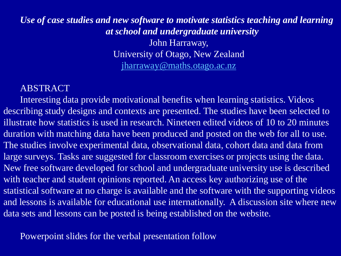### *Use of case studies and new software to motivate statistics teaching and learning at school and undergraduate university* John Harraway, University of Otago, New Zealand [jharraway@maths.otago.ac.nz](mailto:jharraway@maths.otago.ac.nz)

### ABSTRACT

Interesting data provide motivational benefits when learning statistics. Videos describing study designs and contexts are presented. The studies have been selected to illustrate how statistics is used in research. Nineteen edited videos of 10 to 20 minutes duration with matching data have been produced and posted on the web for all to use. The studies involve experimental data, observational data, cohort data and data from large surveys. Tasks are suggested for classroom exercises or projects using the data. New free software developed for school and undergraduate university use is described with teacher and student opinions reported. An access key authorizing use of the statistical software at no charge is available and the software with the supporting videos and lessons is available for educational use internationally. A discussion site where new data sets and lessons can be posted is being established on the website.

Powerpoint slides for the verbal presentation follow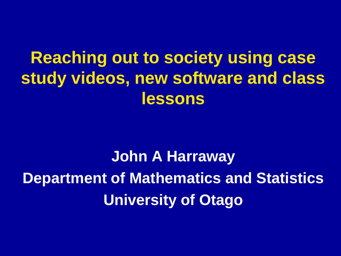## **Reaching out to society using case study videos, new software and class lessons**

**John A Harraway Department of Mathematics and Statistics University of Otago**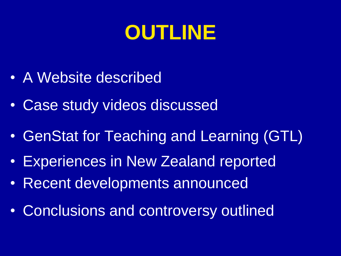# **OUTLINE**

- A Website described
- Case study videos discussed
- GenStat for Teaching and Learning (GTL)
- Experiences in New Zealand reported
- Recent developments announced
- Conclusions and controversy outlined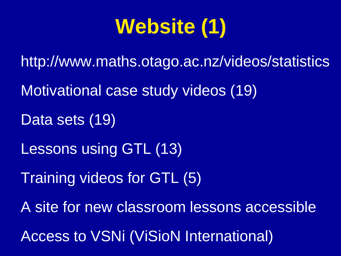# **Website (1)**

http://www.maths.otago.ac.nz/videos/statistics Motivational case study videos (19) Data sets (19) Lessons using GTL (13) Training videos for GTL (5) A site for new classroom lessons accessible Access to VSNi (ViSioN International)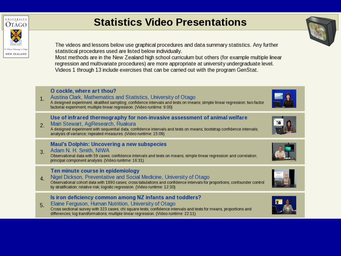

## **Statistics Video Presentations**

The videos and lessons below use graphical procedures and data summary statistics. Any further statistical procedures used are listed below individually.

Most methods are in the New Zealand high school curriculum but others (for example multiple linear regression and multivariate procedures) are more appropriate at university undergraduate level. Videos 1 through 13 include exercises that can be carried out with the program GenStat.

#### O cockle, where art thou?

Austina Clark, Mathematics and Statistics, University of Otago  $1<sub>1</sub>$ A designed experiment, stratified sampling; confidence intervals and tests on means; simple linear regression; two factor factorial experiment; multiple linear regression. (Video runtime: 9:00)

#### Use of infrared thermography for non-invasive assessment of animal welfare

Mairi Stewart, AgResearch, Ruakura  $2.$ 

A designed experiment with sequential data; confidence intervals and tests on means; bootstrap confidence intervals; analysis of variance; repeated measures. (Video runtime: 15:09).

#### **Maui's Dolphin: Uncovering a new subspecies**

#### Adam N. H. Smith, NIWA 3.

Observational data with 59 cases; confidence intervals and tests on means; simple linear regression and correlation; principal component analysis. (Video runtime: 16:31)

#### Ten minute course in epidemiology

Nigel Dickson, Preventative and Social Medicine, University of Otago 4. Observational cohort data with 1890 cases: cross tabulations and confidence intervals for proportions: confounder control by stratification; relative risk; logistic regression. (Video runtime: 12:30)

#### Is iron deficiency common among NZ infants and toddlers?

Elaine Ferguson, Human Nutrition, University of Otago 5. Cross sectional survey with 323 cases; chi square tests; confidence intervals and tests for means, proportions and differences; log transformations; multiple linear regression. (Video runtime: 22:11)













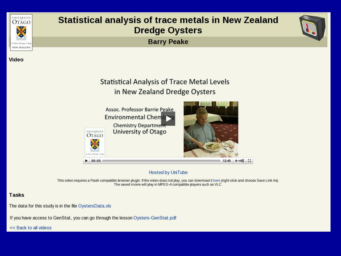

**Video** 

### **Statistical analysis of trace metals in New Zealand Dredge Oysters**

**Barry Peake** 





#### **Hosted by UniTube**

This video requires a Flash-compatible browser plugin. If the video does not play, you can download it here (right-click and choose Save Link As). The saved movie will play in MPEG-4 compatible players such as VLC.

#### **Tasks**

The data for this study is in the file OystersData.xls

If you have access to GenStat, you can go through the lesson Oysters-GenStat.pdf

<< Back to all videos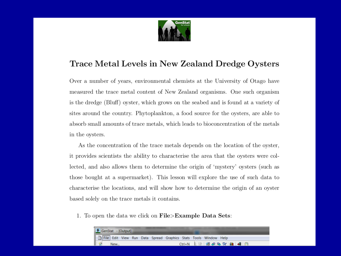

#### Trace Metal Levels in New Zealand Dredge Oysters

Over a number of years, environmental chemists at the University of Otago have measured the trace metal content of New Zealand organisms. One such organism is the dredge (Bluff) oyster, which grows on the seabed and is found at a variety of sites around the country. Phytoplankton, a food source for the oysters, are able to absorb small amounts of trace metals, which leads to bioconcentration of the metals in the oysters.

As the concentration of the trace metals depends on the location of the oyster, it provides scientists the ability to characterise the area that the oysters were collected, and also allows them to determine the origin of 'mystery' oysters (such as those bought at a supermarket). This lesson will explore the use of such data to characterise the locations, and will show how to determine the origin of an oyster based solely on the trace metals it contains.

1. To open the data we click on File>Example Data Sets:

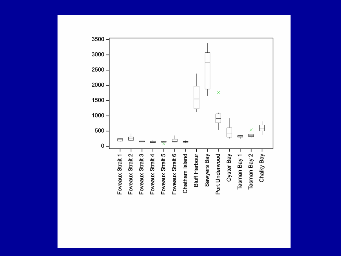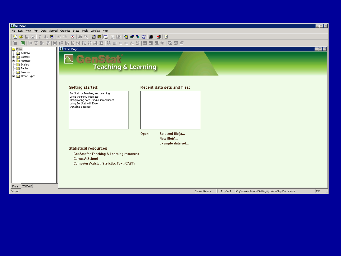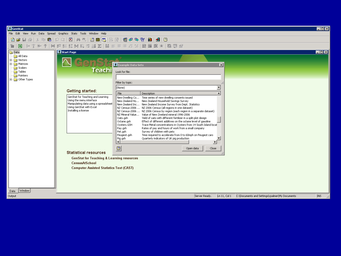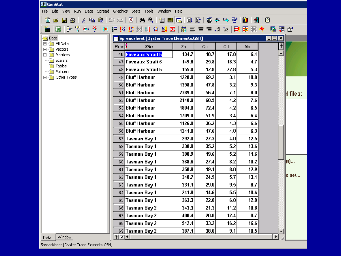| & GenStat                                                                                                                              |                  |                     |        |      |      |      |                       |           |
|----------------------------------------------------------------------------------------------------------------------------------------|------------------|---------------------|--------|------|------|------|-----------------------|-----------|
| Edit<br><b>View</b><br>Run Data<br>Spread Graphics Stats Tools<br>Window<br>File<br>Help                                               |                  |                     |        |      |      |      |                       |           |
| 颜色<br>图 伊 み 者 <br>$\lambda$ to the $ \mathfrak{Q} \geq$<br>祖国国国野<br>ᆌ<br>é.<br>$\boldsymbol{\beta}$ defined by<br>⊠<br>Ш<br>$\sqrt{2}$ |                  |                     |        |      |      |      |                       |           |
| 麗<br>黽<br>₩ 187<br>匿<br>×                                                                                                              |                  |                     |        |      |      |      |                       |           |
| $\blacksquare$ DIX<br>Spreadsheet [Oyster Trace Elements.GSH]<br><b>Data</b>                                                           |                  |                     |        |      |      |      |                       |           |
| 由 图 All Data<br>⊞…∭ Vectors                                                                                                            | Row <sup>1</sup> | <b>Site</b>         | Zn     | Сu   | Cd.  | Mn   | $\mathbf{H}$          |           |
| 田 - Matrices                                                                                                                           |                  | 46 Foveaux Strait 6 | 134.7  | 18.7 | 17.8 | 6.4  | ▲                     |           |
| Scalars                                                                                                                                |                  | 47 Foveaux Strait 6 | 149.8  | 25.8 | 18.3 | 4.7  |                       |           |
| Tables<br>Pointers                                                                                                                     |                  | 48 Foveaux Strait 6 | 155.8  | 12.8 | 22.8 | 5.3  |                       |           |
| <b>E</b> - <b>B</b> Other Types                                                                                                        |                  | 49 Bluff Harbour    | 1220.0 | 69.2 | 3.1  | 10.8 |                       |           |
|                                                                                                                                        |                  | 50 Bluff Harbour    | 1398.0 | 47.8 | 3.2  | 9.3  |                       |           |
|                                                                                                                                        |                  | 51 Bluff Harbour    | 2389.0 | 56.4 | 7.1  | 8.0  |                       | bl files∶ |
|                                                                                                                                        |                  | 52 Bluff Harbour    | 2148.0 | 68.5 | 4.2  | 7.6  |                       |           |
|                                                                                                                                        |                  | 53 Bluff Harbour    | 1804.0 | 72.4 | 4.2  | 6.5  |                       |           |
|                                                                                                                                        |                  | 54 Bluff Harbour    | 1709.0 | 51.9 | 3.4  | 6.4  |                       |           |
|                                                                                                                                        |                  | 55 Bluff Harbour    | 1126.0 | 36.2 | 4.3  | 6.6  |                       |           |
|                                                                                                                                        |                  | 56 Bluff Harbour    | 1241.0 | 47.6 | 4.0  | 6.3  |                       |           |
|                                                                                                                                        |                  | 57 Tasman Bay 1     | 292.0  | 27.3 | 4.0  | 12.5 |                       |           |
|                                                                                                                                        |                  | 58 Tasman Bay 1     | 330.8  | 35.2 | 5.2  | 13.6 |                       |           |
|                                                                                                                                        |                  | 59 Tasman Bay 1     | 300.9  | 19.6 | 5.2  | 11.6 |                       |           |
|                                                                                                                                        |                  | 60 Tasman Bay 1     | 368.6  | 27.4 | 8.2  | 10.2 |                       | (s)       |
|                                                                                                                                        |                  | 61 Tasman Bay 1     | 350.9  | 19.1 | 0.8  | 12.9 |                       |           |
|                                                                                                                                        |                  | 62 Tasman Bay 1     | 340.7  | 24.9 | 5.7  | 13.1 |                       | la set    |
|                                                                                                                                        |                  | 63 Tasman Bay 1     | 331.1  | 29.0 | 9.5  | 8.7  |                       |           |
|                                                                                                                                        |                  | 64 Tasman Bay 1     | 241.8  | 14.6 | 5.5  | 10.6 |                       |           |
|                                                                                                                                        |                  | 65 Tasman Bay 1     | 363.3  | 22.8 | 6.0  | 12.8 |                       |           |
|                                                                                                                                        |                  | 66 Tasman Bay 2     | 343.3  | 21.3 | 11.2 | 10.8 |                       |           |
|                                                                                                                                        |                  | 67 Tasman Bay 2     | 400.4  | 20.8 | 12.4 | 8.7  |                       |           |
|                                                                                                                                        |                  | 68 Tasman Bay 2     | 542.4  | 33.2 | 16.2 | 16.6 |                       |           |
|                                                                                                                                        |                  | 69 Tasman Bay 2     | 387.1  | 38.0 | 9.1  | 10.5 |                       |           |
| Window<br>Data                                                                                                                         | <u> १ जि।</u>    |                     |        |      |      |      | $\blacktriangleright$ |           |

Spreadsheet [Oyster Trace Elements.GSH]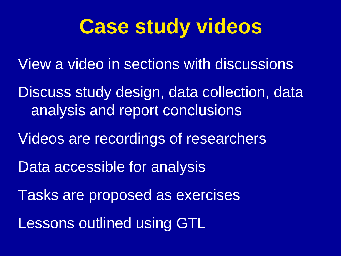# **Case study videos**

View a video in sections with discussions

Discuss study design, data collection, data analysis and report conclusions

Videos are recordings of researchers

Data accessible for analysis

Tasks are proposed as exercises

Lessons outlined using GTL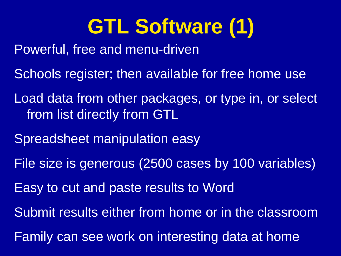# **GTL Software (1)**

- Powerful, free and menu-driven
- Schools register; then available for free home use
- Load data from other packages, or type in, or select from list directly from GTL
- Spreadsheet manipulation easy
- File size is generous (2500 cases by 100 variables)
- Easy to cut and paste results to Word
- Submit results either from home or in the classroom
- Family can see work on interesting data at home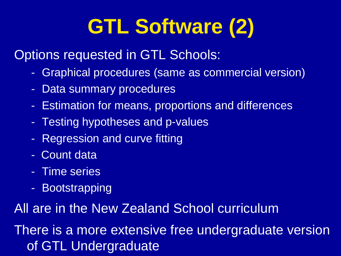# **GTL Software (2)**

Options requested in GTL Schools:

- Graphical procedures (same as commercial version)
- Data summary procedures
- Estimation for means, proportions and differences
- Testing hypotheses and p-values
- Regression and curve fitting
- Count data
- Time series
- Bootstrapping

All are in the New Zealand School curriculum

There is a more extensive free undergraduate version of GTL Undergraduate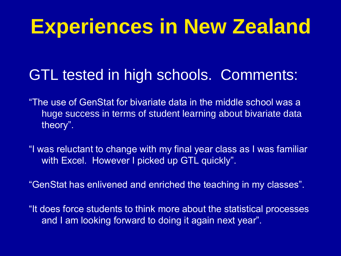# **Experiences in New Zealand**

## GTL tested in high schools. Comments:

- "The use of GenStat for bivariate data in the middle school was a huge success in terms of student learning about bivariate data theory".
- "I was reluctant to change with my final year class as I was familiar with Excel. However I picked up GTL quickly".
- "GenStat has enlivened and enriched the teaching in my classes".
- "It does force students to think more about the statistical processes and I am looking forward to doing it again next year".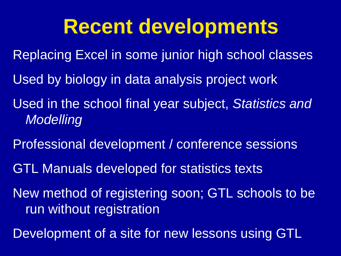## **Recent developments**

- Replacing Excel in some junior high school classes
- Used by biology in data analysis project work
- Used in the school final year subject, *Statistics and Modelling*
- Professional development / conference sessions
- GTL Manuals developed for statistics texts
- New method of registering soon; GTL schools to be run without registration
- Development of a site for new lessons using GTL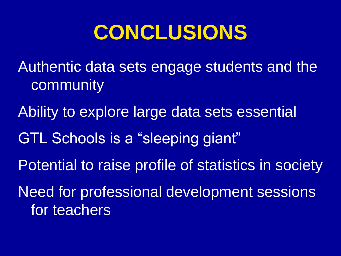# **CONCLUSIONS**

- Authentic data sets engage students and the community
- Ability to explore large data sets essential
- GTL Schools is a "sleeping giant"
- Potential to raise profile of statistics in society
- Need for professional development sessions for teachers